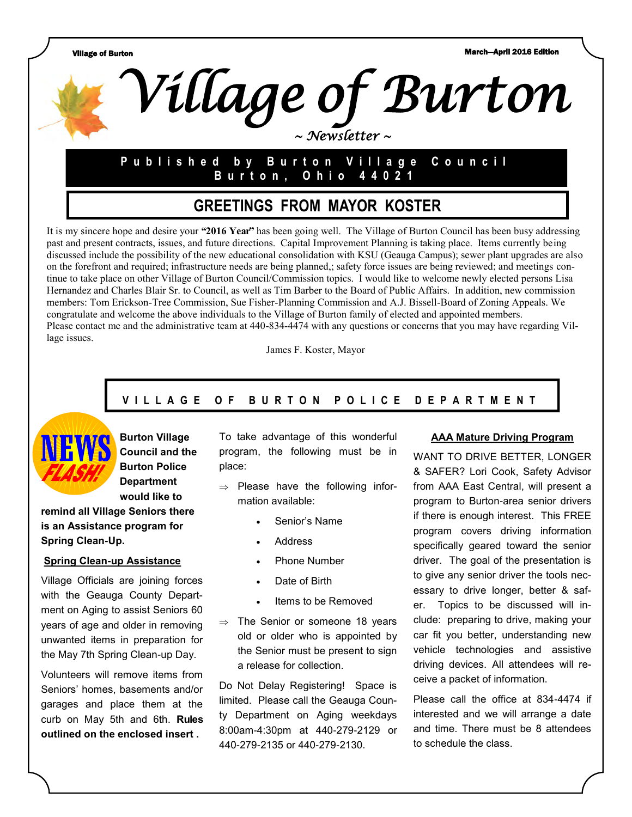Village of Burton March—April 2016 Edition



# **P u b l i s h e d b y B u r t o n V i l l a g e C o u n c i l B u r t o n , O h i o 4 4 0 2 1**

# **GREETINGS FROM MAYOR KOSTER**

It is my sincere hope and desire your **"2016 Year"** has been going well. The Village of Burton Council has been busy addressing past and present contracts, issues, and future directions. Capital Improvement Planning is taking place. Items currently being discussed include the possibility of the new educational consolidation with KSU (Geauga Campus); sewer plant upgrades are also on the forefront and required; infrastructure needs are being planned,; safety force issues are being reviewed; and meetings continue to take place on other Village of Burton Council/Commission topics. I would like to welcome newly elected persons Lisa Hernandez and Charles Blair Sr. to Council, as well as Tim Barber to the Board of Public Affairs. In addition, new commission members: Tom Erickson-Tree Commission, Sue Fisher-Planning Commission and A.J. Bissell-Board of Zoning Appeals. We congratulate and welcome the above individuals to the Village of Burton family of elected and appointed members. Please contact me and the administrative team at 440-834-4474 with any questions or concerns that you may have regarding Village issues.

James F. Koster, Mayor

## **V I L L A G E O F B U R T O N P O L I C E D E P A R T M E N T**



**Burton Village Council and the Burton Police Department would like to** 

**remind all Village Seniors there is an Assistance program for Spring Clean-Up.**

#### **Spring Clean-up Assistance**

Village Officials are joining forces with the Geauga County Department on Aging to assist Seniors 60 years of age and older in removing unwanted items in preparation for the May 7th Spring Clean-up Day.

Volunteers will remove items from Seniors' homes, basements and/or garages and place them at the curb on May 5th and 6th. **Rules outlined on the enclosed insert .**

To take advantage of this wonderful program, the following must be in place:

- $\Rightarrow$  Please have the following information available:
	- Senior's Name
	- Address
	- Phone Number
	- Date of Birth
	- Items to be Removed
- $\Rightarrow$  The Senior or someone 18 years old or older who is appointed by the Senior must be present to sign a release for collection.

Do Not Delay Registering! Space is limited. Please call the Geauga County Department on Aging weekdays 8:00am-4:30pm at 440-279-2129 or 440-279-2135 or 440-279-2130.

#### **AAA Mature Driving Program**

WANT TO DRIVE BETTER, LONGER & SAFER? Lori Cook, Safety Advisor from AAA East Central, will present a program to Burton-area senior drivers if there is enough interest. This FREE program covers driving information specifically geared toward the senior driver. The goal of the presentation is to give any senior driver the tools necessary to drive longer, better & safer. Topics to be discussed will include: preparing to drive, making your car fit you better, understanding new vehicle technologies and assistive driving devices. All attendees will receive a packet of information.

Please call the office at 834-4474 if interested and we will arrange a date and time. There must be 8 attendees to schedule the class.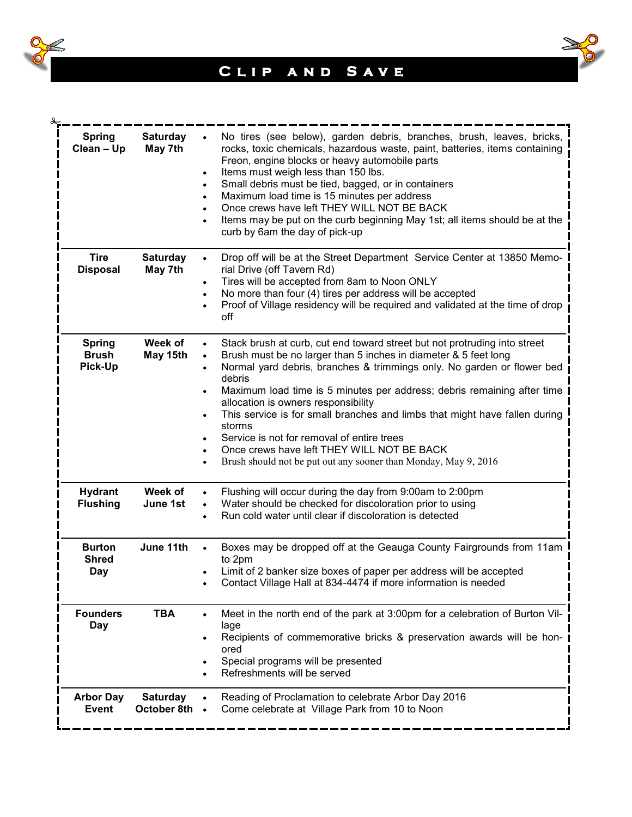



| <b>Spring</b><br>Clean - Up              | <b>Saturday</b><br>May 7th       | No tires (see below), garden debris, branches, brush, leaves, bricks,<br>rocks, toxic chemicals, hazardous waste, paint, batteries, items containing<br>Freon, engine blocks or heavy automobile parts<br>Items must weigh less than 150 lbs.<br>$\bullet$<br>Small debris must be tied, bagged, or in containers<br>$\bullet$<br>Maximum load time is 15 minutes per address<br>$\bullet$<br>Once crews have left THEY WILL NOT BE BACK<br>Items may be put on the curb beginning May 1st; all items should be at the<br>curb by 6am the day of pick-up                                                                                                                                             |
|------------------------------------------|----------------------------------|------------------------------------------------------------------------------------------------------------------------------------------------------------------------------------------------------------------------------------------------------------------------------------------------------------------------------------------------------------------------------------------------------------------------------------------------------------------------------------------------------------------------------------------------------------------------------------------------------------------------------------------------------------------------------------------------------|
| <b>Tire</b><br><b>Disposal</b>           | <b>Saturday</b><br>May 7th       | Drop off will be at the Street Department Service Center at 13850 Memo-<br>$\bullet$<br>rial Drive (off Tavern Rd)<br>Tires will be accepted from 8am to Noon ONLY<br>$\bullet$<br>No more than four (4) tires per address will be accepted<br>$\bullet$<br>Proof of Village residency will be required and validated at the time of drop<br>off                                                                                                                                                                                                                                                                                                                                                     |
| <b>Spring</b><br><b>Brush</b><br>Pick-Up | Week of<br>May 15th              | Stack brush at curb, cut end toward street but not protruding into street<br>$\bullet$<br>Brush must be no larger than 5 inches in diameter & 5 feet long<br>$\bullet$<br>Normal yard debris, branches & trimmings only. No garden or flower bed<br>debris<br>Maximum load time is 5 minutes per address; debris remaining after time<br>$\bullet$<br>allocation is owners responsibility<br>This service is for small branches and limbs that might have fallen during<br>$\bullet$<br>storms<br>Service is not for removal of entire trees<br>$\bullet$<br>Once crews have left THEY WILL NOT BE BACK<br>$\bullet$<br>Brush should not be put out any sooner than Monday, May 9, 2016<br>$\bullet$ |
| <b>Hydrant</b><br><b>Flushing</b>        | Week of<br>June 1st              | Flushing will occur during the day from 9:00am to 2:00pm<br>Water should be checked for discoloration prior to using<br>$\bullet$<br>Run cold water until clear if discoloration is detected                                                                                                                                                                                                                                                                                                                                                                                                                                                                                                         |
| <b>Burton</b><br><b>Shred</b><br>Day     | June 11th                        | Boxes may be dropped off at the Geauga County Fairgrounds from 11am<br>to 2pm<br>Limit of 2 banker size boxes of paper per address will be accepted<br>Contact Village Hall at 834-4474 if more information is needed                                                                                                                                                                                                                                                                                                                                                                                                                                                                                |
| <b>Founders</b><br>Day                   | <b>TBA</b>                       | Meet in the north end of the park at 3:00pm for a celebration of Burton Vil-<br>٠<br>lage<br>Recipients of commemorative bricks & preservation awards will be hon-<br>$\bullet$<br>ored<br>Special programs will be presented<br>Refreshments will be served                                                                                                                                                                                                                                                                                                                                                                                                                                         |
| <b>Arbor Day</b><br><b>Event</b>         | <b>Saturday</b><br>October 8th . | Reading of Proclamation to celebrate Arbor Day 2016<br>Come celebrate at Village Park from 10 to Noon                                                                                                                                                                                                                                                                                                                                                                                                                                                                                                                                                                                                |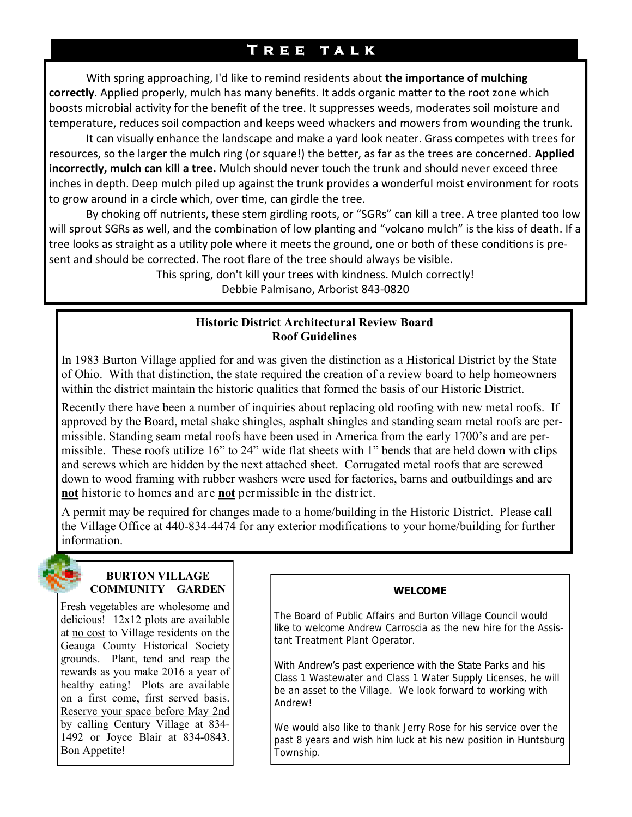# **T r e e t a l k**

With spring approaching, I'd like to remind residents about **the importance of mulching correctly**. Applied properly, mulch has many benefits. It adds organic matter to the root zone which boosts microbial activity for the benefit of the tree. It suppresses weeds, moderates soil moisture and temperature, reduces soil compaction and keeps weed whackers and mowers from wounding the trunk.

It can visually enhance the landscape and make a yard look neater. Grass competes with trees for resources, so the larger the mulch ring (or square!) the better, as far as the trees are concerned. **Applied incorrectly, mulch can kill a tree.** Mulch should never touch the trunk and should never exceed three inches in depth. Deep mulch piled up against the trunk provides a wonderful moist environment for roots to grow around in a circle which, over time, can girdle the tree.

By choking off nutrients, these stem girdling roots, or "SGRs" can kill a tree. A tree planted too low will sprout SGRs as well, and the combination of low planting and "volcano mulch" is the kiss of death. If a tree looks as straight as a utility pole where it meets the ground, one or both of these conditions is present and should be corrected. The root flare of the tree should always be visible.

> This spring, don't kill your trees with kindness. Mulch correctly! Debbie Palmisano, Arborist 843-0820

### **Historic District Architectural Review Board Roof Guidelines**

In 1983 Burton Village applied for and was given the distinction as a Historical District by the State of Ohio. With that distinction, the state required the creation of a review board to help homeowners within the district maintain the historic qualities that formed the basis of our Historic District.

Recently there have been a number of inquiries about replacing old roofing with new metal roofs. If approved by the Board, metal shake shingles, asphalt shingles and standing seam metal roofs are permissible. Standing seam metal roofs have been used in America from the early 1700's and are permissible. These roofs utilize 16" to 24" wide flat sheets with 1" bends that are held down with clips and screws which are hidden by the next attached sheet. Corrugated metal roofs that are screwed down to wood framing with rubber washers were used for factories, barns and outbuildings and are **not** historic to homes and are **not** permissible in the district.

A permit may be required for changes made to a home/building in the Historic District. Please call the Village Office at 440-834-4474 for any exterior modifications to your home/building for further information.

#### **BURTON VILLAGE COMMUNITY GARDEN**

Fresh vegetables are wholesome and delicious! 12x12 plots are available at no cost to Village residents on the Geauga County Historical Society grounds. Plant, tend and reap the rewards as you make 2016 a year of healthy eating! Plots are available on a first come, first served basis. Reserve your space before May 2nd by calling Century Village at 834- 1492 or Joyce Blair at 834-0843. Bon Appetite!

### **WELCOME**

The Board of Public Affairs and Burton Village Council would like to welcome Andrew Carroscia as the new hire for the Assistant Treatment Plant Operator.

With Andrew's past experience with the State Parks and his Class 1 Wastewater and Class 1 Water Supply Licenses, he will be an asset to the Village. We look forward to working with Andrew!

We would also like to thank Jerry Rose for his service over the past 8 years and wish him luck at his new position in Huntsburg Township.